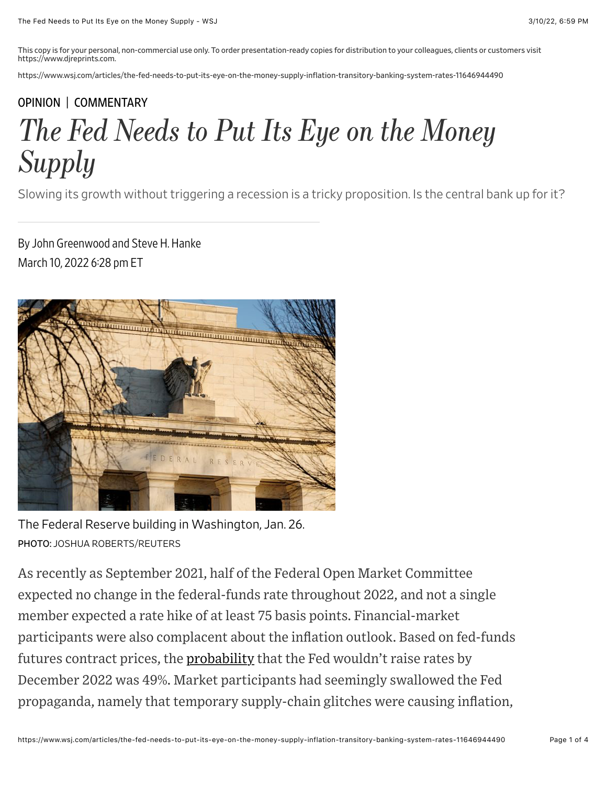This copy is for your personal, non-commercial use only. To order presentation-ready copies for distribution to your colleagues, clients or customers visit https://www.djreprints.com.

https://www.wsj.com/articles/the-fed-needs-to-put-its-eye-on-the-money-supply-inflation-transitory-banking-system-rates-11646944490

## [OPINION](https://www.wsj.com/news/opinion?mod=breadcrumb) | [COMMENTARY](https://www.wsj.com/news/types/commentary-u-s?mod=breadcrumb) *The Fed Needs to Put Its Eye on the Money Supply*

Slowing its growth without triggering a recession is a tricky proposition. Is the central bank up for it?

By John Greenwood and Steve H. Hanke March 10, 2022 6:28 pm ET



The Federal Reserve building in Washington, Jan. 26. PHOTO: JOSHUA ROBERTS/REUTERS

As recently as September 2021, half of the Federal Open Market Committee expected no change in the federal-funds rate throughout 2022, and not a single member expected a rate hike of at least 75 basis points. Financial-market participants were also complacent about the inflation outlook. Based on fed-funds futures contract prices, the **probability** that the Fed wouldn't raise rates by December 2022 was 49%. Market participants had seemingly swallowed the Fed propaganda, namely that temporary supply-chain glitches were causing inflation,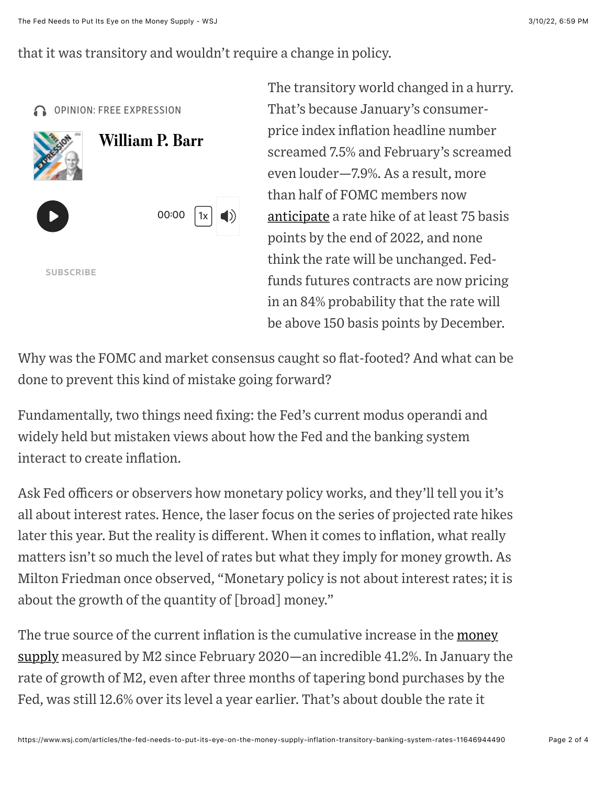that it was transitory and wouldn't require a change in policy.



The transitory world changed in a hurry. That's because January's consumerprice index inflation headline number screamed 7.5% and February's screamed even louder—7.9%. As a result, more than half of FOMC members now [anticipate](https://www.federalreserve.gov/monetarypolicy/files/fomcprojtabl20211215.pdf) a rate hike of at least 75 basis points by the end of 2022, and none think the rate will be unchanged. Fedfunds futures contracts are now pricing in an 84% probability that the rate will be above 150 basis points by December.

Why was the FOMC and market consensus caught so flat-footed? And what can be done to prevent this kind of mistake going forward?

Fundamentally, two things need fixing: the Fed's current modus operandi and widely held but mistaken views about how the Fed and the banking system interact to create inflation.

Ask Fed officers or observers how monetary policy works, and they'll tell you it's all about interest rates. Hence, the laser focus on the series of projected rate hikes later this year. But the reality is different. When it comes to inflation, what really matters isn't so much the level of rates but what they imply for money growth. As Milton Friedman once observed, "Monetary policy is not about interest rates; it is about the growth of the quantity of [broad] money."

[The true source of the current inflation is the cumulative increase in the money](https://www.federalreserve.gov/releases/h6/current/default.htm) supply measured by M2 since February 2020—an incredible 41.2%. In January the rate of growth of M2, even after three months of tapering bond purchases by the Fed, was still 12.6% over its level a year earlier. That's about double the rate it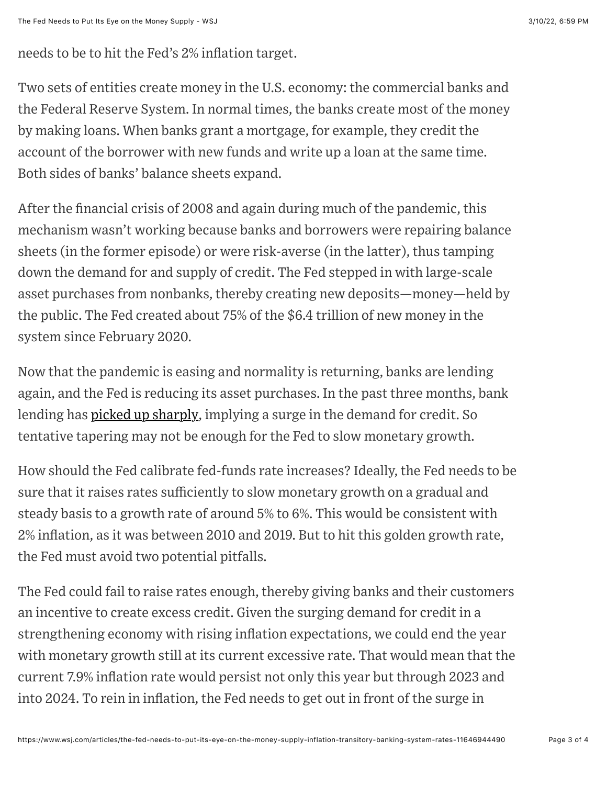needs to be to hit the Fed's 2% inflation target.

Two sets of entities create money in the U.S. economy: the commercial banks and the Federal Reserve System. In normal times, the banks create most of the money by making loans. When banks grant a mortgage, for example, they credit the account of the borrower with new funds and write up a loan at the same time. Both sides of banks' balance sheets expand.

After the financial crisis of 2008 and again during much of the pandemic, this mechanism wasn't working because banks and borrowers were repairing balance sheets (in the former episode) or were risk-averse (in the latter), thus tamping down the demand for and supply of credit. The Fed stepped in with large-scale asset purchases from nonbanks, thereby creating new deposits—money—held by the public. The Fed created about 75% of the \$6.4 trillion of new money in the system since February 2020.

Now that the pandemic is easing and normality is returning, banks are lending again, and the Fed is reducing its asset purchases. In the past three months, bank lending has [picked up sharply](https://fred.stlouisfed.org/series/BUSLOANS), implying a surge in the demand for credit. So tentative tapering may not be enough for the Fed to slow monetary growth.

How should the Fed calibrate fed-funds rate increases? Ideally, the Fed needs to be sure that it raises rates sufficiently to slow monetary growth on a gradual and steady basis to a growth rate of around 5% to 6%. This would be consistent with 2% inflation, as it was between 2010 and 2019. But to hit this golden growth rate, the Fed must avoid two potential pitfalls.

The Fed could fail to raise rates enough, thereby giving banks and their customers an incentive to create excess credit. Given the surging demand for credit in a strengthening economy with rising inflation expectations, we could end the year with monetary growth still at its current excessive rate. That would mean that the current 7.9% inflation rate would persist not only this year but through 2023 and into 2024. To rein in inflation, the Fed needs to get out in front of the surge in